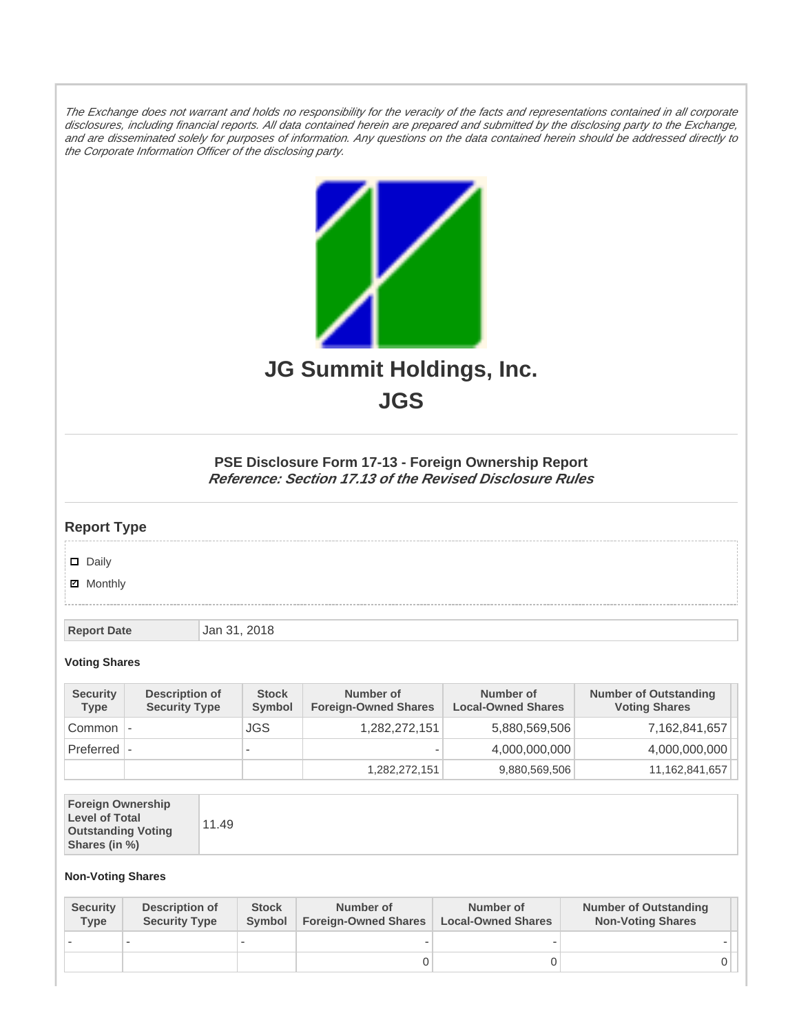The Exchange does not warrant and holds no responsibility for the veracity of the facts and representations contained in all corporate disclosures, including financial reports. All data contained herein are prepared and submitted by the disclosing party to the Exchange, and are disseminated solely for purposes of information. Any questions on the data contained herein should be addressed directly to the Corporate Information Officer of the disclosing party.



**JGS**

## **PSE Disclosure Form 17-13 - Foreign Ownership Report Reference: Section 17.13 of the Revised Disclosure Rules**

## **Report Type**

Daily

**Ø** Monthly

**Report Date Jan 31, 2018** 

## **Voting Shares**

| <b>Security</b><br>Type | Description of<br><b>Security Type</b> | <b>Stock</b><br><b>Symbol</b> | Number of<br><b>Foreign-Owned Shares</b> | Number of<br><b>Local-Owned Shares</b> | <b>Number of Outstanding</b><br><b>Voting Shares</b> |
|-------------------------|----------------------------------------|-------------------------------|------------------------------------------|----------------------------------------|------------------------------------------------------|
| Common                  |                                        | <b>JGS</b>                    | 1,282,272,151                            | 5,880,569,506                          | 7,162,841,657                                        |
| $Preferred$ $\vdash$    |                                        | $\overline{\phantom{a}}$      |                                          | 4,000,000,000                          | 4,000,000,000                                        |
|                         |                                        |                               | 1,282,272,151                            | 9,880,569,506                          | 11,162,841,657                                       |

| <b>Foreign Ownership</b><br><b>Level of Total</b><br><b>Outstanding Voting</b><br>Shares (in %) |
|-------------------------------------------------------------------------------------------------|
|-------------------------------------------------------------------------------------------------|

## **Non-Voting Shares**

| <b>Security</b><br>Type | Description of<br><b>Security Type</b> | <b>Stock</b><br>Symbol | Number of<br><b>Foreign-Owned Shares</b> | Number of<br><b>Local-Owned Shares</b> | <b>Number of Outstanding</b><br><b>Non-Voting Shares</b> |
|-------------------------|----------------------------------------|------------------------|------------------------------------------|----------------------------------------|----------------------------------------------------------|
|                         |                                        |                        | -                                        | $\overline{\phantom{a}}$               |                                                          |
|                         |                                        |                        |                                          |                                        |                                                          |